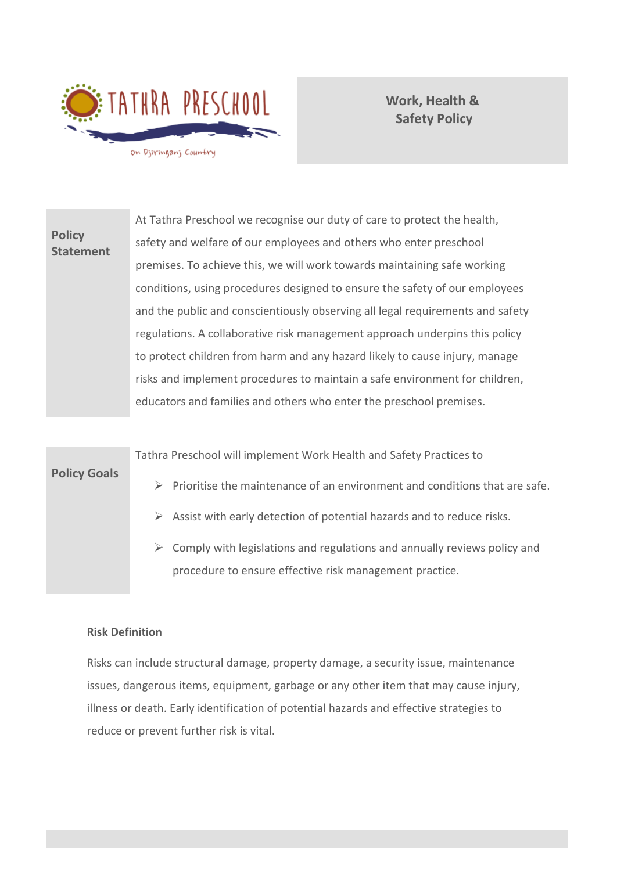

**Work, Health & Safety Policy**

**Policy Statement** At Tathra Preschool we recognise our duty of care to protect the health, safety and welfare of our employees and others who enter preschool premises. To achieve this, we will work towards maintaining safe working conditions, using procedures designed to ensure the safety of our employees and the public and conscientiously observing all legal requirements and safety regulations. A collaborative risk management approach underpins this policy to protect children from harm and any hazard likely to cause injury, manage risks and implement procedures to maintain a safe environment for children, educators and families and others who enter the preschool premises.



#### **Risk Definition**

Risks can include structural damage, property damage, a security issue, maintenance issues, dangerous items, equipment, garbage or any other item that may cause injury, illness or death. Early identification of potential hazards and effective strategies to reduce or prevent further risk is vital.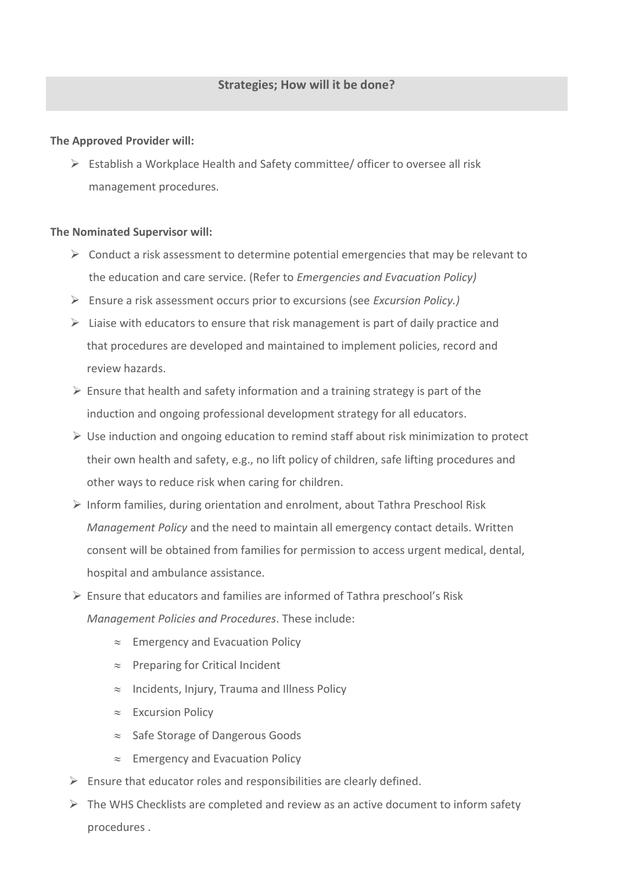### **The Approved Provider will:**

 $\triangleright$  Establish a Workplace Health and Safety committee/ officer to oversee all risk management procedures.

#### **The Nominated Supervisor will:**

- $\triangleright$  Conduct a risk assessment to determine potential emergencies that may be relevant to the education and care service. (Refer to *Emergencies and Evacuation Policy)*
- ➢ Ensure a risk assessment occurs prior to excursions (see *Excursion Policy.)*
- $\triangleright$  Liaise with educators to ensure that risk management is part of daily practice and that procedures are developed and maintained to implement policies, record and review hazards.
- $\triangleright$  Ensure that health and safety information and a training strategy is part of the induction and ongoing professional development strategy for all educators.
- $\triangleright$  Use induction and ongoing education to remind staff about risk minimization to protect their own health and safety, e.g., no lift policy of children, safe lifting procedures and other ways to reduce risk when caring for children.
- ➢ Inform families, during orientation and enrolment, about Tathra Preschool Risk *Management Policy* and the need to maintain all emergency contact details. Written consent will be obtained from families for permission to access urgent medical, dental, hospital and ambulance assistance.
- $\triangleright$  Ensure that educators and families are informed of Tathra preschool's Risk *Management Policies and Procedures*. These include:
	- $\approx$  Emergency and Evacuation Policy
	- $\approx$  Preparing for Critical Incident
	- $\approx$  Incidents, Injury, Trauma and Illness Policy
	- $\approx$  Excursion Policy
	- $\approx$  Safe Storage of Dangerous Goods
	- $\approx$  Emergency and Evacuation Policy
- $\triangleright$  Ensure that educator roles and responsibilities are clearly defined.
- $\triangleright$  The WHS Checklists are completed and review as an active document to inform safety procedures .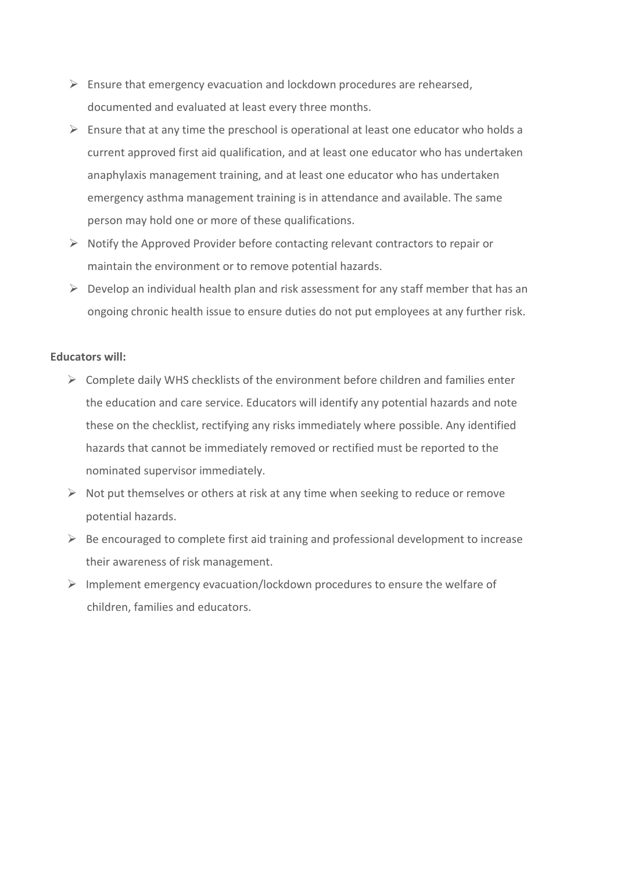- $\triangleright$  Ensure that emergency evacuation and lockdown procedures are rehearsed, documented and evaluated at least every three months.
- $\triangleright$  Ensure that at any time the preschool is operational at least one educator who holds a current approved first aid qualification, and at least one educator who has undertaken anaphylaxis management training, and at least one educator who has undertaken emergency asthma management training is in attendance and available. The same person may hold one or more of these qualifications.
- $\triangleright$  Notify the Approved Provider before contacting relevant contractors to repair or maintain the environment or to remove potential hazards.
- $\triangleright$  Develop an individual health plan and risk assessment for any staff member that has an ongoing chronic health issue to ensure duties do not put employees at any further risk.

#### **Educators will:**

- $\triangleright$  Complete daily WHS checklists of the environment before children and families enter the education and care service. Educators will identify any potential hazards and note these on the checklist, rectifying any risks immediately where possible. Any identified hazards that cannot be immediately removed or rectified must be reported to the nominated supervisor immediately.
- $\triangleright$  Not put themselves or others at risk at any time when seeking to reduce or remove potential hazards.
- $\triangleright$  Be encouraged to complete first aid training and professional development to increase their awareness of risk management.
- $\triangleright$  Implement emergency evacuation/lockdown procedures to ensure the welfare of children, families and educators.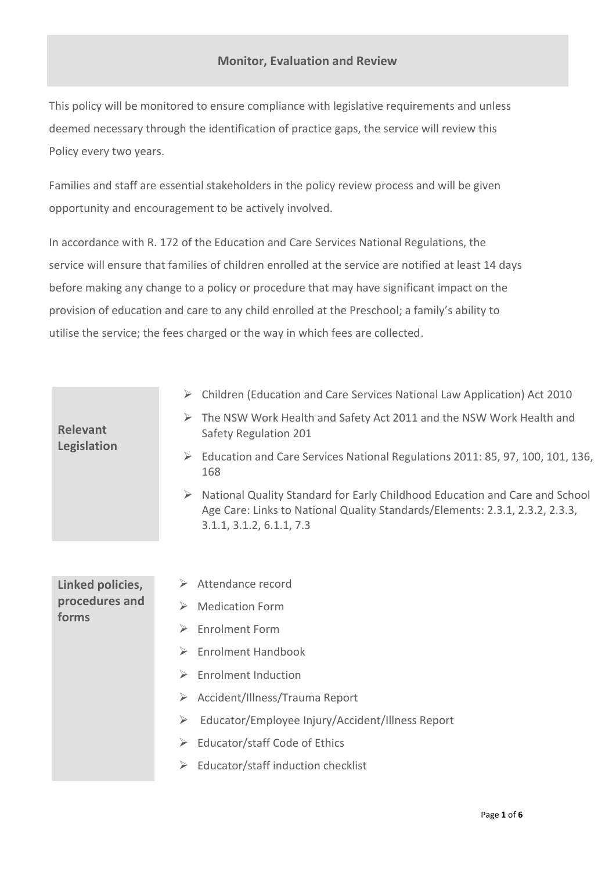## **Monitor, Evaluation and Review**

This policy will be monitored to ensure compliance with legislative requirements and unless deemed necessary through the identification of practice gaps, the service will review this Policy every two years.

Families and staff are essential stakeholders in the policy review process and will be given opportunity and encouragement to be actively involved.

In accordance with R. 172 of the Education and Care Services National Regulations, the service will ensure that families of children enrolled at the service are notified at least 14 days before making any change to a policy or procedure that may have significant impact on the provision of education and care to any child enrolled at the Preschool; a family's ability to utilise the service; the fees charged or the way in which fees are collected.

| <b>Relevant</b><br>Legislation              | Children (Education and Care Services National Law Application) Act 2010                                                                                                                |
|---------------------------------------------|-----------------------------------------------------------------------------------------------------------------------------------------------------------------------------------------|
|                                             | The NSW Work Health and Safety Act 2011 and the NSW Work Health and<br>➤<br>Safety Regulation 201                                                                                       |
|                                             | Education and Care Services National Regulations 2011: 85, 97, 100, 101, 136,<br>➤<br>168                                                                                               |
|                                             | National Quality Standard for Early Childhood Education and Care and School<br>Age Care: Links to National Quality Standards/Elements: 2.3.1, 2.3.2, 2.3.3,<br>3.1.1, 3.1.2, 6.1.1, 7.3 |
|                                             |                                                                                                                                                                                         |
| Linked policies,<br>procedures and<br>forms | Attendance record<br>➤                                                                                                                                                                  |
|                                             | <b>Medication Form</b><br>$\blacktriangleright$                                                                                                                                         |
|                                             | <b>Enrolment Form</b><br>➤                                                                                                                                                              |
|                                             | <b>Enrolment Handbook</b><br>$\blacktriangleright$                                                                                                                                      |
|                                             | <b>Enrolment Induction</b><br>➤                                                                                                                                                         |
|                                             | Accident/Illness/Trauma Report<br>➤                                                                                                                                                     |
|                                             | Educator/Employee Injury/Accident/Illness Report<br>➤                                                                                                                                   |
|                                             | Educator/staff Code of Ethics<br>➤                                                                                                                                                      |
|                                             | Educator/staff induction checklist<br>➤                                                                                                                                                 |
|                                             |                                                                                                                                                                                         |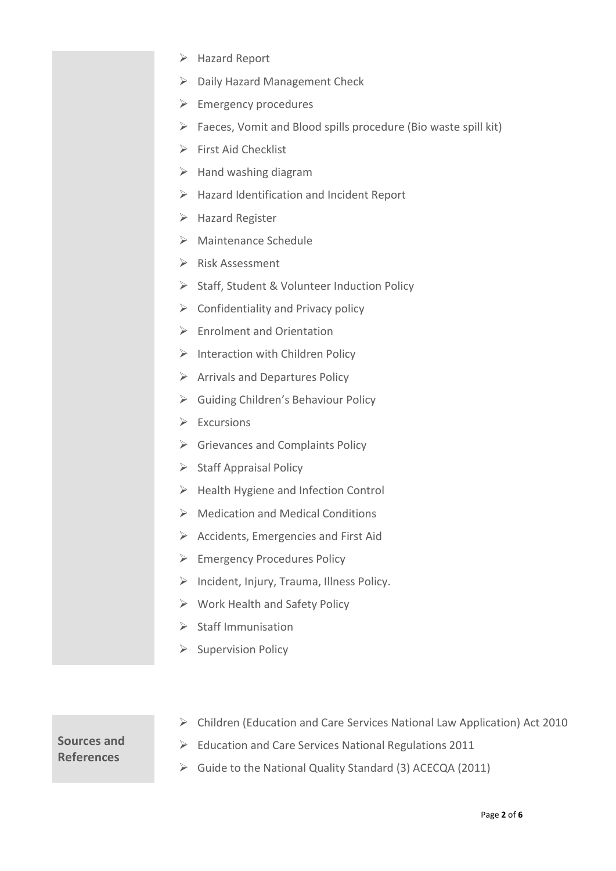- ➢ Hazard Report ➢ Daily Hazard Management Check  $\triangleright$  Emergency procedures  $\triangleright$  Faeces, Vomit and Blood spills procedure (Bio waste spill kit) ➢ First Aid Checklist  $\triangleright$  Hand washing diagram ➢ Hazard Identification and Incident Report ➢ Hazard Register ➢ Maintenance Schedule ➢ Risk Assessment ➢ Staff, Student & Volunteer Induction Policy  $\triangleright$  Confidentiality and Privacy policy ➢ Enrolment and Orientation  $\triangleright$  Interaction with Children Policy ➢ Arrivals and Departures Policy ➢ Guiding Children's Behaviour Policy ➢ Excursions ➢ Grievances and Complaints Policy ➢ Staff Appraisal Policy ➢ Health Hygiene and Infection Control ➢ Medication and Medical Conditions ➢ Accidents, Emergencies and First Aid ➢ Emergency Procedures Policy  $\triangleright$  Incident, Injury, Trauma, Illness Policy. ➢ Work Health and Safety Policy  $\triangleright$  Staff Immunisation
	- ➢ Supervision Policy

# **Sources and References**

- ➢ Children (Education and Care Services National Law Application) Act 2010
- ➢ Education and Care Services National Regulations 2011
- ➢ Guide to the National Quality Standard (3) ACECQA (2011)

#### Page **2** of **6**